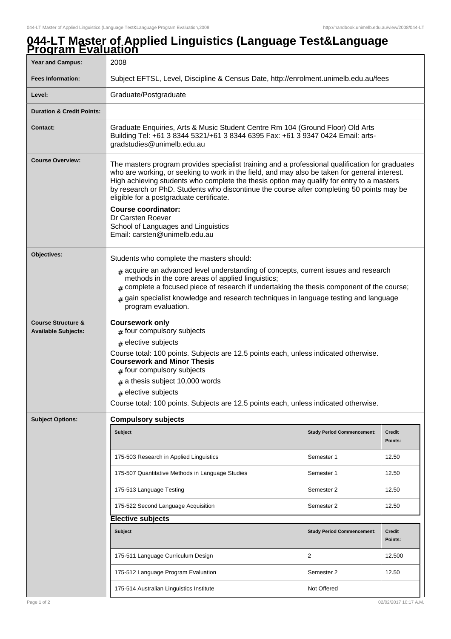## **044-LT Master of Applied Linguistics (Language Test&Language Program Evaluation**

| <u> 1 0 gi um e valuation</u><br><b>Year and Campus:</b>    | 2008                                                                                                                                                                                                                                                                                                                                                                                                                                                                                                                             |                                   |                          |  |
|-------------------------------------------------------------|----------------------------------------------------------------------------------------------------------------------------------------------------------------------------------------------------------------------------------------------------------------------------------------------------------------------------------------------------------------------------------------------------------------------------------------------------------------------------------------------------------------------------------|-----------------------------------|--------------------------|--|
| <b>Fees Information:</b>                                    | Subject EFTSL, Level, Discipline & Census Date, http://enrolment.unimelb.edu.au/fees                                                                                                                                                                                                                                                                                                                                                                                                                                             |                                   |                          |  |
| Level:                                                      | Graduate/Postgraduate                                                                                                                                                                                                                                                                                                                                                                                                                                                                                                            |                                   |                          |  |
| <b>Duration &amp; Credit Points:</b>                        |                                                                                                                                                                                                                                                                                                                                                                                                                                                                                                                                  |                                   |                          |  |
| Contact:                                                    | Graduate Enquiries, Arts & Music Student Centre Rm 104 (Ground Floor) Old Arts<br>Building Tel: +61 3 8344 5321/+61 3 8344 6395 Fax: +61 3 9347 0424 Email: arts-<br>gradstudies@unimelb.edu.au                                                                                                                                                                                                                                                                                                                                  |                                   |                          |  |
| <b>Course Overview:</b>                                     | The masters program provides specialist training and a professional qualification for graduates<br>who are working, or seeking to work in the field, and may also be taken for general interest.<br>High achieving students who complete the thesis option may qualify for entry to a masters<br>by research or PhD. Students who discontinue the course after completing 50 points may be<br>eligible for a postgraduate certificate.<br><b>Course coordinator:</b><br>Dr Carsten Roever<br>School of Languages and Linguistics |                                   |                          |  |
|                                                             | Email: carsten@unimelb.edu.au                                                                                                                                                                                                                                                                                                                                                                                                                                                                                                    |                                   |                          |  |
| Objectives:                                                 | Students who complete the masters should:<br>$#$ acquire an advanced level understanding of concepts, current issues and research<br>methods in the core areas of applied linguistics;<br>$_{\text{\#}}$ complete a focused piece of research if undertaking the thesis component of the course;<br>gain specialist knowledge and research techniques in language testing and language<br>program evaluation.                                                                                                                    |                                   |                          |  |
| <b>Course Structure &amp;</b><br><b>Available Subjects:</b> | <b>Coursework only</b><br>$#$ four compulsory subjects<br>$#$ elective subjects<br>Course total: 100 points. Subjects are 12.5 points each, unless indicated otherwise.<br><b>Coursework and Minor Thesis</b><br>$#$ four compulsory subjects<br>$#$ a thesis subject 10,000 words<br>$#$ elective subjects<br>Course total: 100 points. Subjects are 12.5 points each, unless indicated otherwise.                                                                                                                              |                                   |                          |  |
| <b>Subject Options:</b>                                     | <b>Compulsory subjects</b>                                                                                                                                                                                                                                                                                                                                                                                                                                                                                                       |                                   |                          |  |
|                                                             | <b>Subject</b>                                                                                                                                                                                                                                                                                                                                                                                                                                                                                                                   | <b>Study Period Commencement:</b> | <b>Credit</b><br>Points: |  |
|                                                             | 175-503 Research in Applied Linguistics                                                                                                                                                                                                                                                                                                                                                                                                                                                                                          | Semester 1                        | 12.50                    |  |
|                                                             | 175-507 Quantitative Methods in Language Studies                                                                                                                                                                                                                                                                                                                                                                                                                                                                                 | Semester 1                        | 12.50                    |  |
|                                                             | 175-513 Language Testing                                                                                                                                                                                                                                                                                                                                                                                                                                                                                                         | Semester 2                        | 12.50                    |  |
|                                                             | 175-522 Second Language Acquisition                                                                                                                                                                                                                                                                                                                                                                                                                                                                                              | Semester 2                        | 12.50                    |  |
|                                                             | <b>Elective subjects</b>                                                                                                                                                                                                                                                                                                                                                                                                                                                                                                         |                                   |                          |  |
|                                                             | <b>Subject</b>                                                                                                                                                                                                                                                                                                                                                                                                                                                                                                                   | <b>Study Period Commencement:</b> | <b>Credit</b><br>Points: |  |
|                                                             | 175-511 Language Curriculum Design                                                                                                                                                                                                                                                                                                                                                                                                                                                                                               | 2                                 | 12.500                   |  |
|                                                             | 175-512 Language Program Evaluation                                                                                                                                                                                                                                                                                                                                                                                                                                                                                              | Semester 2                        | 12.50                    |  |
|                                                             | 175-514 Australian Linguistics Institute                                                                                                                                                                                                                                                                                                                                                                                                                                                                                         | Not Offered                       |                          |  |
| Page 1 of 2                                                 |                                                                                                                                                                                                                                                                                                                                                                                                                                                                                                                                  |                                   | 02/02/2017 10:17 A.M.    |  |